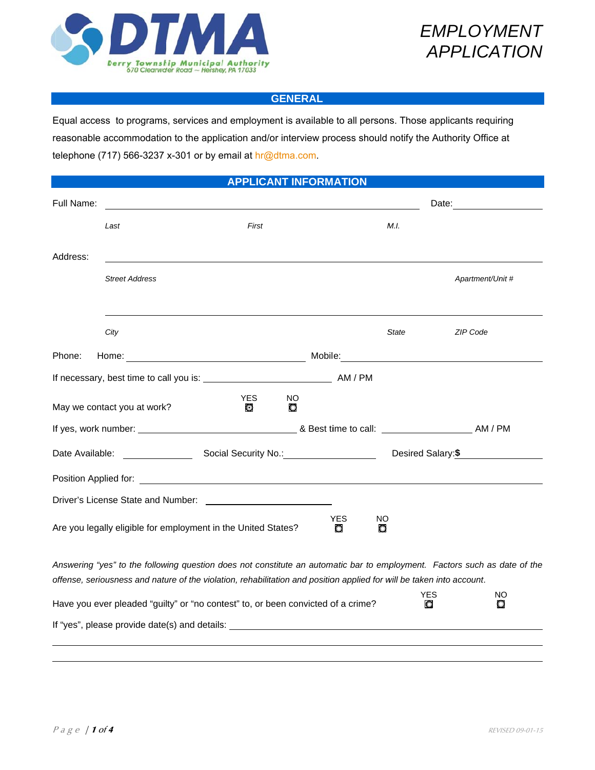



### **GENERAL**

Equal access to programs, services and employment is available to all persons. Those applicants requiring reasonable accommodation to the application and/or interview process should notify the Authority Office at telephone (717) 566-3237 x-301 or by email at hr@dtma.com.

| <b>APPLICANT INFORMATION</b>                                 |                                                                                                                                                                                                                                                    |          |          |                 |                   |          |                  |
|--------------------------------------------------------------|----------------------------------------------------------------------------------------------------------------------------------------------------------------------------------------------------------------------------------------------------|----------|----------|-----------------|-------------------|----------|------------------|
| Full Name:                                                   |                                                                                                                                                                                                                                                    |          |          |                 |                   |          |                  |
|                                                              | Last                                                                                                                                                                                                                                               | First    |          |                 | M.I.              |          |                  |
| Address:                                                     |                                                                                                                                                                                                                                                    |          |          |                 |                   |          |                  |
|                                                              | <b>Street Address</b>                                                                                                                                                                                                                              |          |          |                 |                   |          | Apartment/Unit # |
|                                                              |                                                                                                                                                                                                                                                    |          |          |                 |                   |          |                  |
|                                                              | City                                                                                                                                                                                                                                               |          |          |                 | <b>State</b>      |          | ZIP Code         |
| Phone:                                                       |                                                                                                                                                                                                                                                    |          |          |                 |                   |          |                  |
|                                                              |                                                                                                                                                                                                                                                    |          |          |                 |                   |          |                  |
|                                                              | May we contact you at work?                                                                                                                                                                                                                        | YES<br>O | NO.<br>O |                 |                   |          |                  |
|                                                              |                                                                                                                                                                                                                                                    |          |          |                 |                   |          |                  |
| Date Available:<br>Social Security No.: Social Security No.: |                                                                                                                                                                                                                                                    |          |          |                 | Desired Salary:\$ |          |                  |
|                                                              | Position Applied for: <u>contract the contract of the contract of the contract of the contract of the contract of the contract of the contract of the contract of the contract of the contract of the contract of the contract o</u>               |          |          |                 |                   |          |                  |
|                                                              | Driver's License State and Number:                                                                                                                                                                                                                 |          |          |                 |                   |          |                  |
|                                                              | Are you legally eligible for employment in the United States?                                                                                                                                                                                      |          |          | <b>YES</b><br>o | NO<br>O           |          |                  |
|                                                              | Answering "yes" to the following question does not constitute an automatic bar to employment. Factors such as date of the<br>offense, seriousness and nature of the violation, rehabilitation and position applied for will be taken into account. |          |          |                 |                   |          |                  |
|                                                              | Have you ever pleaded "guilty" or "no contest" to, or been convicted of a crime?                                                                                                                                                                   |          |          |                 |                   | YES<br>O | NO<br>O          |
|                                                              |                                                                                                                                                                                                                                                    |          |          |                 |                   |          |                  |
|                                                              |                                                                                                                                                                                                                                                    |          |          |                 |                   |          |                  |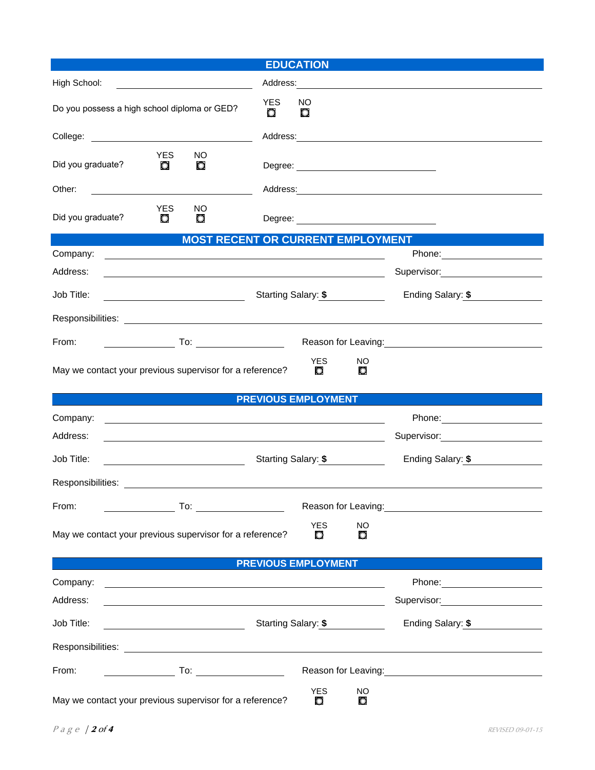| <b>EDUCATION</b>                                                                                                                                                                                                                             |                                          |                                                                                                                                                                                                                                |  |  |  |
|----------------------------------------------------------------------------------------------------------------------------------------------------------------------------------------------------------------------------------------------|------------------------------------------|--------------------------------------------------------------------------------------------------------------------------------------------------------------------------------------------------------------------------------|--|--|--|
| High School:                                                                                                                                                                                                                                 |                                          |                                                                                                                                                                                                                                |  |  |  |
| Do you possess a high school diploma or GED?                                                                                                                                                                                                 | <b>YES</b><br>NO.<br>O<br>O              |                                                                                                                                                                                                                                |  |  |  |
|                                                                                                                                                                                                                                              |                                          |                                                                                                                                                                                                                                |  |  |  |
| YES.<br>NO.<br>Did you graduate?<br>O<br>O                                                                                                                                                                                                   |                                          |                                                                                                                                                                                                                                |  |  |  |
| Other:                                                                                                                                                                                                                                       |                                          |                                                                                                                                                                                                                                |  |  |  |
| <b>YES</b><br>NO.<br>Did you graduate?<br>$\circ$<br>O                                                                                                                                                                                       |                                          |                                                                                                                                                                                                                                |  |  |  |
| <b>Contract Contract Contract Contract Contract Contract Contract Contract Contract Contract Contract Contract Co</b>                                                                                                                        | <b>MOST RECENT OR CURRENT EMPLOYMENT</b> |                                                                                                                                                                                                                                |  |  |  |
| Company:<br>Address:                                                                                                                                                                                                                         |                                          |                                                                                                                                                                                                                                |  |  |  |
|                                                                                                                                                                                                                                              |                                          |                                                                                                                                                                                                                                |  |  |  |
| Job Title:                                                                                                                                                                                                                                   | Starting Salary: \$                      | Ending Salary: \$                                                                                                                                                                                                              |  |  |  |
|                                                                                                                                                                                                                                              |                                          |                                                                                                                                                                                                                                |  |  |  |
| From:                                                                                                                                                                                                                                        |                                          | Reason for Leaving:<br><u>Neason</u> for Leaving:                                                                                                                                                                              |  |  |  |
| May we contact your previous supervisor for a reference?                                                                                                                                                                                     | <b>YES</b><br>NO<br>O<br>O               |                                                                                                                                                                                                                                |  |  |  |
|                                                                                                                                                                                                                                              | <b>PREVIOUS EMPLOYMENT</b>               |                                                                                                                                                                                                                                |  |  |  |
| Company:<br><u> 1989 - Johann John Stoff, deutscher Stoffen und der Stoffen und der Stoffen und der Stoffen und der Stoffen un</u>                                                                                                           |                                          |                                                                                                                                                                                                                                |  |  |  |
| Address:                                                                                                                                                                                                                                     |                                          | Supervisor: 2000                                                                                                                                                                                                               |  |  |  |
| Job Title:                                                                                                                                                                                                                                   | Starting Salary: \$                      | Ending Salary: \$                                                                                                                                                                                                              |  |  |  |
|                                                                                                                                                                                                                                              |                                          |                                                                                                                                                                                                                                |  |  |  |
| From:<br><b>To:</b> the contract of the contract of the contract of the contract of the contract of the contract of the contract of the contract of the contract of the contract of the contract of the contract of the contract of the cont |                                          | Reason for Leaving: The contract of the contract of the contract of the contract of the contract of the contract of the contract of the contract of the contract of the contract of the contract of the contract of the contra |  |  |  |
| May we contact your previous supervisor for a reference?                                                                                                                                                                                     | <b>YES</b><br><b>NO</b><br>O<br>$\circ$  |                                                                                                                                                                                                                                |  |  |  |
| $\mathcal{L}^{\text{max}}_{\text{max}}$ and $\mathcal{L}^{\text{max}}_{\text{max}}$ and $\mathcal{L}^{\text{max}}_{\text{max}}$                                                                                                              | <b>PREVIOUS EMPLOYMENT</b>               |                                                                                                                                                                                                                                |  |  |  |
| Company:                                                                                                                                                                                                                                     |                                          |                                                                                                                                                                                                                                |  |  |  |
| Address:                                                                                                                                                                                                                                     |                                          | Supervisor: Supervisor:                                                                                                                                                                                                        |  |  |  |
| Job Title:                                                                                                                                                                                                                                   | Starting Salary: \$                      | Ending Salary: \$                                                                                                                                                                                                              |  |  |  |
|                                                                                                                                                                                                                                              |                                          |                                                                                                                                                                                                                                |  |  |  |
| From:<br>$\overline{\phantom{a}}$ To: $\overline{\phantom{a}}$                                                                                                                                                                               |                                          | Reason for Leaving: Management Control of the Reason for Leaving: Management Control of the Reason of the Real                                                                                                                 |  |  |  |
| May we contact your previous supervisor for a reference?                                                                                                                                                                                     | <b>YES</b><br><b>NO</b><br>O<br>O        |                                                                                                                                                                                                                                |  |  |  |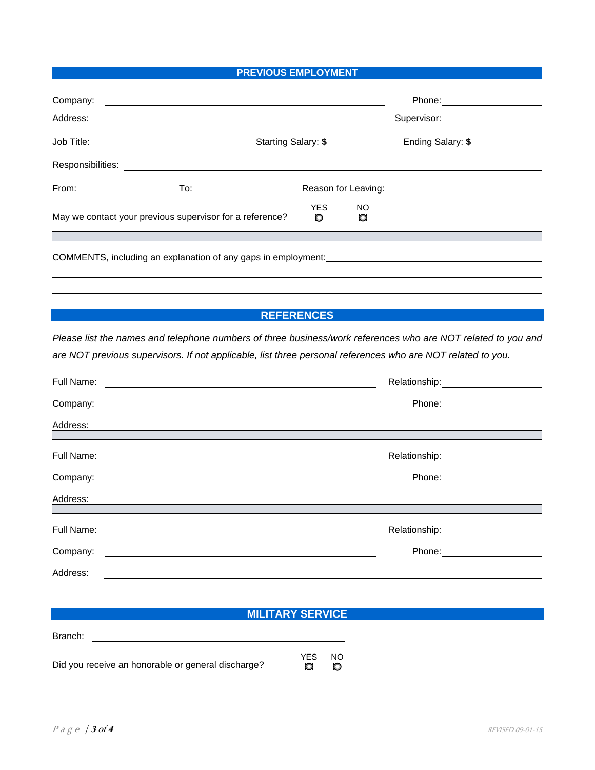#### **PREVIOUS EMPLOYMENT**

| Company:          |                                                                                         |                     |          | Phone:              |  |
|-------------------|-----------------------------------------------------------------------------------------|---------------------|----------|---------------------|--|
| Address:          |                                                                                         |                     |          | Supervisor:         |  |
| Job Title:        |                                                                                         | Starting Salary: \$ |          |                     |  |
| Responsibilities: |                                                                                         |                     |          |                     |  |
| From:             | To: ________________                                                                    |                     |          | Reason for Leaving: |  |
|                   | May we contact your previous supervisor for a reference?                                | <b>YES</b><br>O     | NO.<br>O |                     |  |
|                   |                                                                                         |                     |          |                     |  |
|                   | COMMENTS, including an explanation of any gaps in employment: _________________________ |                     |          |                     |  |
|                   |                                                                                         |                     |          |                     |  |
|                   |                                                                                         |                     |          |                     |  |

## **REFERENCES**

*Please list the names and telephone numbers of three business/work references who are NOT related to you and are NOT previous supervisors. If not applicable, list three personal references who are NOT related to you.* 

| Full Name: |                                                                                                                                | Relationship: _________                    |
|------------|--------------------------------------------------------------------------------------------------------------------------------|--------------------------------------------|
| Company:   | Phone:<br><u> 1980 - Jan Samuel Barbara, martin a shekara tsara 1980 a Tanzania.</u>                                           |                                            |
| Address:   | <u> 1980 - Andrea Andrewski, fransk politik (d. 1980)</u>                                                                      |                                            |
|            |                                                                                                                                |                                            |
| Full Name: | <u> 1989 - Andrea Station Barbara, amerikan personal (h. 1989)</u>                                                             | Relationship: \\square\\sqrt{\math{\smat}} |
| Company:   | Phone:<br><u> 1989 - Johann Stein, mars an deus Amerikaansk kommunister (</u>                                                  |                                            |
| Address:   |                                                                                                                                |                                            |
|            |                                                                                                                                |                                            |
| Full Name: | Relationship:                                                                                                                  |                                            |
| Company:   | Phone:<br><u> 1980 - Jan Stein Stein Stein Stein Stein Stein Stein Stein Stein Stein Stein Stein Stein Stein Stein Stein S</u> |                                            |
| Address:   |                                                                                                                                |                                            |

# **MILITARY SERVICE**

| Did you receive an honorable or general discharge? | YES.<br>$\circ$ | NO.<br>$\circ$ |
|----------------------------------------------------|-----------------|----------------|

Branch: \_\_\_\_